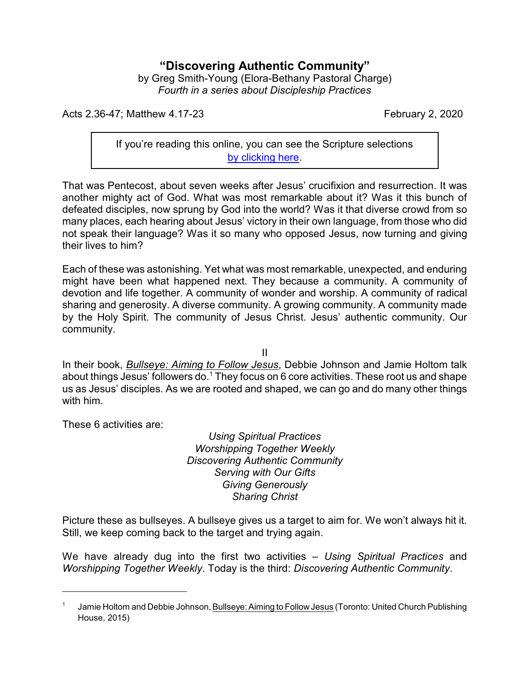## **"Discovering Authentic Community"**

by Greg Smith-Young (Elora-Bethany Pastoral Charge) *Fourth in a series about Discipleship Practices*

Acts 2.36-47; Matthew 4.17-23 February 2, 2020

If you're reading this online, you can see the Scripture selections [by clicking here](https://www.biblegateway.com/passage/?search=Acts+2.36-47%3B+Matthew+4.17-23&version=CEB).

That was Pentecost, about seven weeks after Jesus' crucifixion and resurrection. It was another mighty act of God. What was most remarkable about it? Was it this bunch of defeated disciples, now sprung by God into the world? Was it that diverse crowd from so many places, each hearing about Jesus' victory in their own language, from those who did not speak their language? Was it so many who opposed Jesus, now turning and giving their lives to him?

Each of these was astonishing. Yet what was most remarkable, unexpected, and enduring might have been what happened next. They because a community. A community of devotion and life together. A community of wonder and worship. A community of radical sharing and generosity. A diverse community. A growing community. A community made by the Holy Spirit. The community of Jesus Christ. Jesus' authentic community. Our community.

II

In their book, *Bullseye: Aiming to Follow Jesus*, Debbie Johnson and Jamie Holtom talk about things Jesus' followers do.<sup>1</sup> They focus on 6 core activities. These root us and shape us as Jesus' disciples. As we are rooted and shaped, we can go and do many other things with him.

These 6 activities are:

*Using Spiritual Practices Worshipping Together Weekly Discovering Authentic Community Serving with Our Gifts Giving Generously Sharing Christ*

Picture these as bullseyes. A bullseye gives us a target to aim for. We won't always hit it. Still, we keep coming back to the target and trying again.

We have already dug into the first two activities – *Using Spiritual Practices* and *Worshipping Together Weekly*. Today is the third: *Discovering Authentic Community*.

<sup>1</sup> Jamie Holtom and Debbie Johnson, Bullseye: Aiming to Follow Jesus (Toronto: United Church Publishing House, 2015)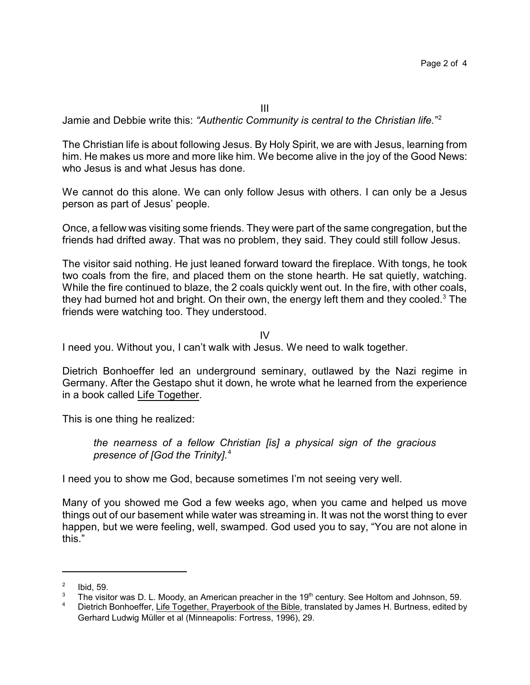III

Jamie and Debbie write this: *"Authentic Community is central to the Christian life.*" 2

The Christian life is about following Jesus. By Holy Spirit, we are with Jesus, learning from him. He makes us more and more like him. We become alive in the joy of the Good News: who Jesus is and what Jesus has done.

We cannot do this alone. We can only follow Jesus with others. I can only be a Jesus person as part of Jesus' people.

Once, a fellow was visiting some friends. They were part of the same congregation, but the friends had drifted away. That was no problem, they said. They could still follow Jesus.

The visitor said nothing. He just leaned forward toward the fireplace. With tongs, he took two coals from the fire, and placed them on the stone hearth. He sat quietly, watching. While the fire continued to blaze, the 2 coals quickly went out. In the fire, with other coals, they had burned hot and bright. On their own, the energy left them and they cooled.<sup>3</sup> The friends were watching too. They understood.

IV

I need you. Without you, I can't walk with Jesus. We need to walk together.

Dietrich Bonhoeffer led an underground seminary, outlawed by the Nazi regime in Germany. After the Gestapo shut it down, he wrote what he learned from the experience in a book called Life Together.

This is one thing he realized:

*the nearness of a fellow Christian [is] a physical sign of the gracious presence of [God the Trinity].*<sup>4</sup>

I need you to show me God, because sometimes I'm not seeing very well.

Many of you showed me God a few weeks ago, when you came and helped us move things out of our basement while water was streaming in. It was not the worst thing to ever happen, but we were feeling, well, swamped. God used you to say, "You are not alone in this."

<sup>2</sup> Ibid, 59.

 $3$  The visitor was D. L. Moody, an American preacher in the 19<sup>th</sup> century. See Holtom and Johnson, 59.

<sup>4</sup> Dietrich Bonhoeffer, Life Together, Prayerbook of the Bible, translated by James H. Burtness, edited by Gerhard Ludwig Müller et al (Minneapolis: Fortress, 1996), 29.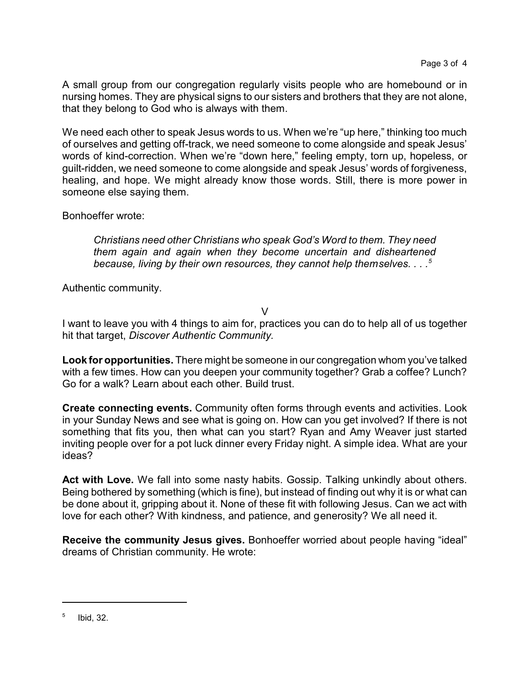A small group from our congregation regularly visits people who are homebound or in nursing homes. They are physical signs to our sisters and brothers that they are not alone, that they belong to God who is always with them.

We need each other to speak Jesus words to us. When we're "up here," thinking too much of ourselves and getting off-track, we need someone to come alongside and speak Jesus' words of kind-correction. When we're "down here," feeling empty, torn up, hopeless, or guilt-ridden, we need someone to come alongside and speak Jesus' words of forgiveness, healing, and hope. We might already know those words. Still, there is more power in someone else saying them.

Bonhoeffer wrote:

*Christians need other Christians who speak God's Word to them. They need them again and again when they become uncertain and disheartened because, living by their own resources, they cannot help themselves. . . .<sup>5</sup>*

Authentic community.

 $\vee$ 

I want to leave you with 4 things to aim for, practices you can do to help all of us together hit that target, *Discover Authentic Community.*

**Look for opportunities.** There might be someone in our congregation whom you've talked with a few times. How can you deepen your community together? Grab a coffee? Lunch? Go for a walk? Learn about each other. Build trust.

**Create connecting events.** Community often forms through events and activities. Look in your Sunday News and see what is going on. How can you get involved? If there is not something that fits you, then what can you start? Ryan and Amy Weaver just started inviting people over for a pot luck dinner every Friday night. A simple idea. What are your ideas?

**Act with Love.** We fall into some nasty habits. Gossip. Talking unkindly about others. Being bothered by something (which is fine), but instead of finding out why it is or what can be done about it, gripping about it. None of these fit with following Jesus. Can we act with love for each other? With kindness, and patience, and generosity? We all need it.

**Receive the community Jesus gives.** Bonhoeffer worried about people having "ideal" dreams of Christian community. He wrote:

<sup>5</sup> Ibid, 32.